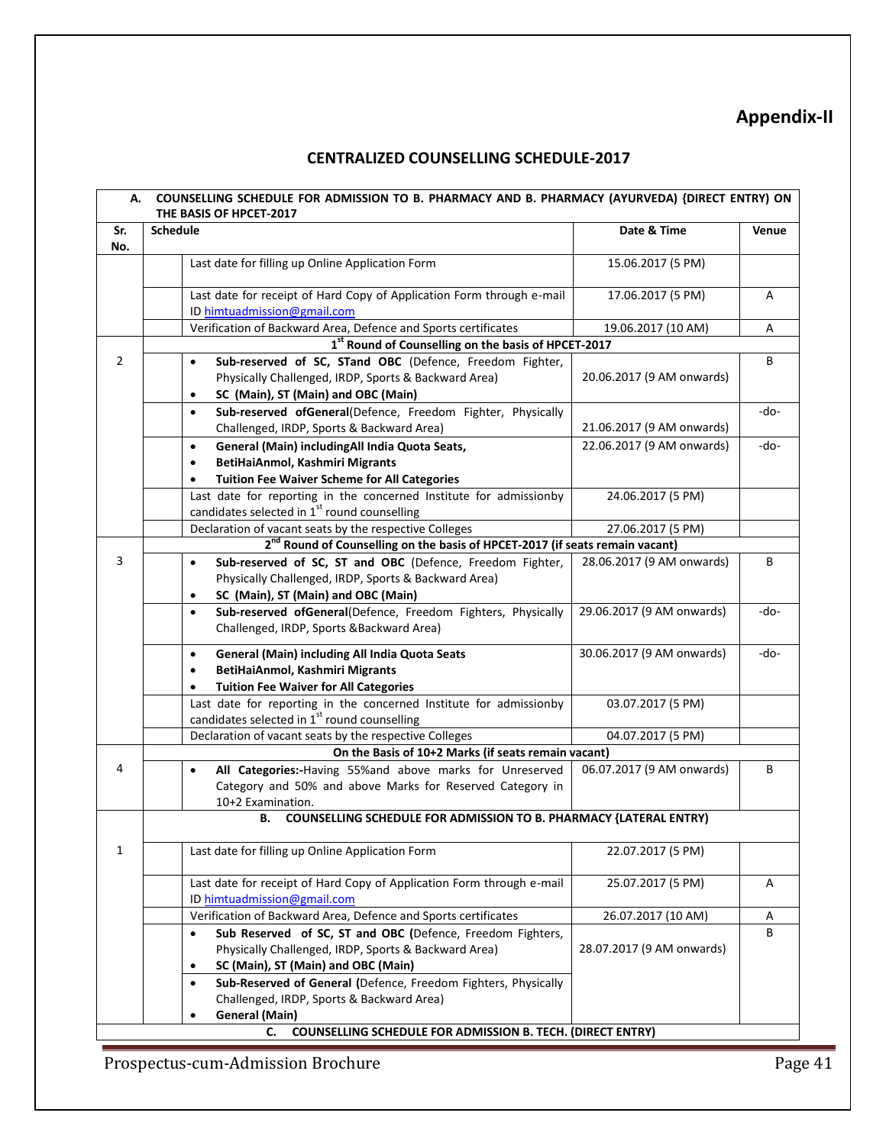## **Appendix-II**

## **CENTRALIZED COUNSELLING SCHEDULE-2017**

| Sr.            | <b>Schedule</b>                                                                                                                     | Date & Time               | Venue |
|----------------|-------------------------------------------------------------------------------------------------------------------------------------|---------------------------|-------|
| No.            |                                                                                                                                     |                           |       |
|                | Last date for filling up Online Application Form                                                                                    | 15.06.2017 (5 PM)         |       |
|                | Last date for receipt of Hard Copy of Application Form through e-mail                                                               | 17.06.2017 (5 PM)         | Α     |
|                | ID himtuadmission@gmail.com                                                                                                         |                           |       |
|                | Verification of Backward Area, Defence and Sports certificates                                                                      | 19.06.2017 (10 AM)        | Α     |
|                | 1st Round of Counselling on the basis of HPCET-2017                                                                                 |                           |       |
| $\overline{2}$ | Sub-reserved of SC, STand OBC (Defence, Freedom Fighter,                                                                            |                           | В     |
|                | Physically Challenged, IRDP, Sports & Backward Area)                                                                                | 20.06.2017 (9 AM onwards) |       |
|                | SC (Main), ST (Main) and OBC (Main)                                                                                                 |                           |       |
|                | Sub-reserved ofGeneral(Defence, Freedom Fighter, Physically<br>$\bullet$                                                            |                           | -do-  |
|                | Challenged, IRDP, Sports & Backward Area)                                                                                           | 21.06.2017 (9 AM onwards) |       |
|                | General (Main) includingAll India Quota Seats,<br>$\bullet$                                                                         | 22.06.2017 (9 AM onwards) | -do-  |
|                | BetiHaiAnmol, Kashmiri Migrants<br>$\bullet$                                                                                        |                           |       |
|                | <b>Tuition Fee Waiver Scheme for All Categories</b>                                                                                 |                           |       |
|                | Last date for reporting in the concerned Institute for admissionby                                                                  | 24.06.2017 (5 PM)         |       |
|                | candidates selected in 1st round counselling                                                                                        |                           |       |
|                | Declaration of vacant seats by the respective Colleges                                                                              | 27.06.2017 (5 PM)         |       |
|                | 2 <sup>nd</sup> Round of Counselling on the basis of HPCET-2017 (if seats remain vacant)                                            |                           |       |
| $\overline{3}$ | Sub-reserved of SC, ST and OBC (Defence, Freedom Fighter,                                                                           | 28.06.2017 (9 AM onwards) | В     |
|                | Physically Challenged, IRDP, Sports & Backward Area)                                                                                |                           |       |
|                | SC (Main), ST (Main) and OBC (Main)<br>$\bullet$                                                                                    |                           |       |
|                | Sub-reserved ofGeneral(Defence, Freedom Fighters, Physically<br>$\bullet$                                                           | 29.06.2017 (9 AM onwards) | -do-  |
|                | Challenged, IRDP, Sports &Backward Area)                                                                                            |                           |       |
|                |                                                                                                                                     |                           |       |
|                | General (Main) including All India Quota Seats<br>$\bullet$                                                                         | 30.06.2017 (9 AM onwards) | -do-  |
|                | BetiHaiAnmol, Kashmiri Migrants<br>$\bullet$                                                                                        |                           |       |
|                | <b>Tuition Fee Waiver for All Categories</b>                                                                                        |                           |       |
|                | Last date for reporting in the concerned Institute for admissionby                                                                  | 03.07.2017 (5 PM)         |       |
|                | candidates selected in 1 <sup>st</sup> round counselling                                                                            |                           |       |
|                | Declaration of vacant seats by the respective Colleges                                                                              | 04.07.2017 (5 PM)         |       |
|                | On the Basis of 10+2 Marks (if seats remain vacant)                                                                                 |                           |       |
| 4              | All Categories:-Having 55% and above marks for Unreserved<br>$\bullet$<br>Category and 50% and above Marks for Reserved Category in | 06.07.2017 (9 AM onwards) | B     |
|                | 10+2 Examination.                                                                                                                   |                           |       |
|                |                                                                                                                                     |                           |       |
|                | COUNSELLING SCHEDULE FOR ADMISSION TO B. PHARMACY {LATERAL ENTRY)<br>В.                                                             |                           |       |
| $\mathbf{1}$   | Last date for filling up Online Application Form                                                                                    | 22.07.2017 (5 PM)         |       |
|                |                                                                                                                                     |                           |       |
|                | Last date for receipt of Hard Copy of Application Form through e-mail                                                               | 25.07.2017 (5 PM)         | Α     |
|                | ID himtuadmission@gmail.com                                                                                                         |                           |       |
|                | Verification of Backward Area, Defence and Sports certificates                                                                      | 26.07.2017 (10 AM)        | A     |
|                | Sub Reserved of SC, ST and OBC (Defence, Freedom Fighters,<br>$\bullet$                                                             |                           | B     |
|                | Physically Challenged, IRDP, Sports & Backward Area)                                                                                | 28.07.2017 (9 AM onwards) |       |
|                | SC (Main), ST (Main) and OBC (Main)<br>$\bullet$                                                                                    |                           |       |
|                | Sub-Reserved of General (Defence, Freedom Fighters, Physically<br>$\bullet$                                                         |                           |       |
|                |                                                                                                                                     |                           |       |
|                | Challenged, IRDP, Sports & Backward Area)                                                                                           |                           |       |

Prospectus-cum-Admission Brochure Page 41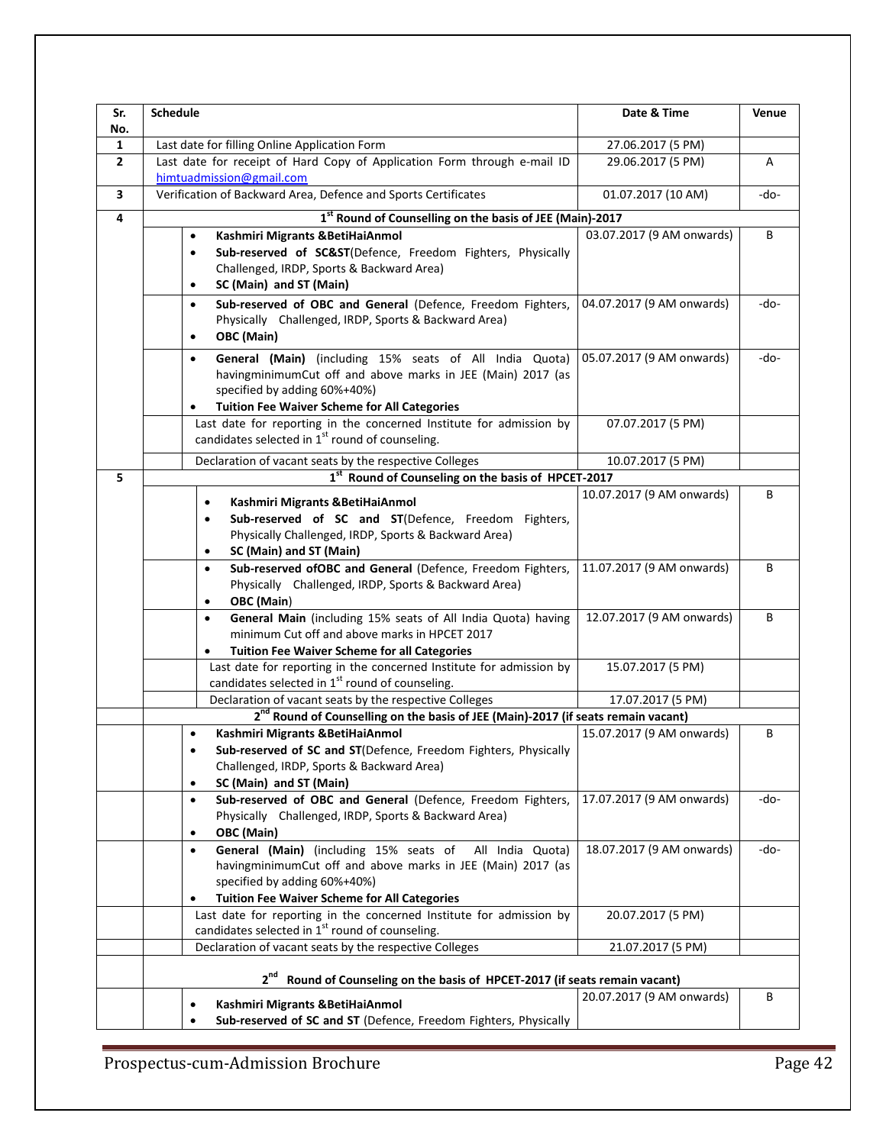| Sr.<br>No.   | <b>Schedule</b>                                                                                                  | Date & Time               | Venue |
|--------------|------------------------------------------------------------------------------------------------------------------|---------------------------|-------|
| 1            | Last date for filling Online Application Form                                                                    | 27.06.2017 (5 PM)         |       |
| $\mathbf{2}$ | Last date for receipt of Hard Copy of Application Form through e-mail ID<br>himtuadmission@gmail.com             | 29.06.2017 (5 PM)         | Α     |
| 3            | Verification of Backward Area, Defence and Sports Certificates                                                   | 01.07.2017 (10 AM)        | -do-  |
| 4            | 1st Round of Counselling on the basis of JEE (Main)-2017                                                         |                           |       |
|              | Kashmiri Migrants & BetiHaiAnmol<br>$\bullet$                                                                    | 03.07.2017 (9 AM onwards) | В     |
|              | Sub-reserved of SC&ST(Defence, Freedom Fighters, Physically<br>$\bullet$                                         |                           |       |
|              | Challenged, IRDP, Sports & Backward Area)                                                                        |                           |       |
|              | SC (Main) and ST (Main)<br>$\bullet$                                                                             |                           |       |
|              | Sub-reserved of OBC and General (Defence, Freedom Fighters,<br>$\bullet$                                         | 04.07.2017 (9 AM onwards) | -do-  |
|              | Physically Challenged, IRDP, Sports & Backward Area)                                                             |                           |       |
|              | OBC (Main)<br>$\bullet$                                                                                          |                           |       |
|              | General (Main) (including 15% seats of All India Quota)<br>$\bullet$                                             | 05.07.2017 (9 AM onwards) | -do-  |
|              | havingminimumCut off and above marks in JEE (Main) 2017 (as                                                      |                           |       |
|              | specified by adding 60%+40%)                                                                                     |                           |       |
|              | <b>Tuition Fee Waiver Scheme for All Categories</b><br>$\bullet$                                                 |                           |       |
|              | Last date for reporting in the concerned Institute for admission by                                              | 07.07.2017 (5 PM)         |       |
|              | candidates selected in 1st round of counseling.                                                                  |                           |       |
|              | Declaration of vacant seats by the respective Colleges                                                           | 10.07.2017 (5 PM)         |       |
| 5            | 1st Round of Counseling on the basis of HPCET-2017                                                               |                           |       |
|              | Kashmiri Migrants & BetiHaiAnmol<br>$\bullet$                                                                    | 10.07.2017 (9 AM onwards) | В     |
|              | Sub-reserved of SC and ST(Defence, Freedom Fighters,<br>$\bullet$                                                |                           |       |
|              | Physically Challenged, IRDP, Sports & Backward Area)                                                             |                           |       |
|              | SC (Main) and ST (Main)<br>$\bullet$                                                                             |                           |       |
|              | Sub-reserved of OBC and General (Defence, Freedom Fighters,<br>$\bullet$                                         | 11.07.2017 (9 AM onwards) | В     |
|              | Physically Challenged, IRDP, Sports & Backward Area)                                                             |                           |       |
|              | OBC (Main)<br>$\bullet$                                                                                          |                           |       |
|              | General Main (including 15% seats of All India Quota) having<br>$\bullet$                                        | 12.07.2017 (9 AM onwards) | В     |
|              | minimum Cut off and above marks in HPCET 2017                                                                    |                           |       |
|              | <b>Tuition Fee Waiver Scheme for all Categories</b><br>$\bullet$                                                 |                           |       |
|              | Last date for reporting in the concerned Institute for admission by                                              | 15.07.2017 (5 PM)         |       |
|              | candidates selected in 1 <sup>st</sup> round of counseling.                                                      |                           |       |
|              | Declaration of vacant seats by the respective Colleges                                                           | 17.07.2017 (5 PM)         |       |
|              | 2 <sup>nd</sup> Round of Counselling on the basis of JEE (Main)-2017 (if seats remain vacant)                    |                           |       |
|              | Kashmiri Migrants & BetiHaiAnmol<br>$\bullet$<br>Sub-reserved of SC and ST(Defence, Freedom Fighters, Physically | 15.07.2017 (9 AM onwards) | В     |
|              | Challenged, IRDP, Sports & Backward Area)                                                                        |                           |       |
|              | SC (Main) and ST (Main)<br>$\bullet$                                                                             |                           |       |
|              | Sub-reserved of OBC and General (Defence, Freedom Fighters,<br>$\bullet$                                         | 17.07.2017 (9 AM onwards) | -do-  |
|              | Physically Challenged, IRDP, Sports & Backward Area)                                                             |                           |       |
|              | OBC (Main)<br>$\bullet$                                                                                          |                           |       |
|              | General (Main) (including 15% seats of All India Quota)<br>$\bullet$                                             | 18.07.2017 (9 AM onwards) | -do-  |
|              | havingminimumCut off and above marks in JEE (Main) 2017 (as                                                      |                           |       |
|              | specified by adding 60%+40%)                                                                                     |                           |       |
|              | <b>Tuition Fee Waiver Scheme for All Categories</b><br>$\bullet$                                                 |                           |       |
|              | Last date for reporting in the concerned Institute for admission by                                              | 20.07.2017 (5 PM)         |       |
|              | candidates selected in $1st$ round of counseling.                                                                |                           |       |
|              | Declaration of vacant seats by the respective Colleges                                                           | 21.07.2017 (5 PM)         |       |
|              | 2 <sup>nd</sup><br>Round of Counseling on the basis of HPCET-2017 (if seats remain vacant)                       |                           |       |
|              | Kashmiri Migrants & BetiHaiAnmol<br>$\bullet$                                                                    | 20.07.2017 (9 AM onwards) | В     |
|              | Sub-reserved of SC and ST (Defence, Freedom Fighters, Physically<br>$\bullet$                                    |                           |       |
|              |                                                                                                                  |                           |       |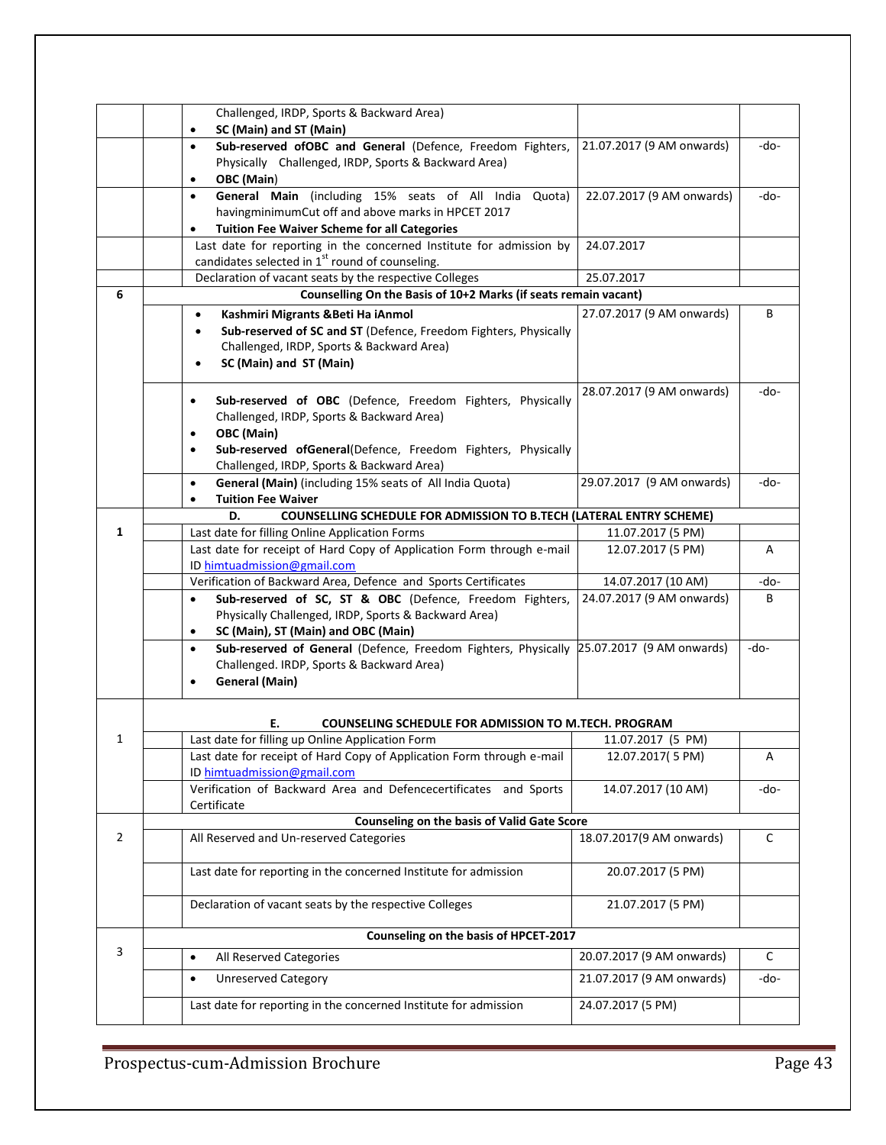|                | Challenged, IRDP, Sports & Backward Area)                                                             |                           |      |
|----------------|-------------------------------------------------------------------------------------------------------|---------------------------|------|
|                | SC (Main) and ST (Main)<br>$\bullet$                                                                  |                           |      |
|                | Sub-reserved ofOBC and General (Defence, Freedom Fighters,<br>$\bullet$                               | 21.07.2017 (9 AM onwards) | -do- |
|                | Physically Challenged, IRDP, Sports & Backward Area)                                                  |                           |      |
|                | OBC (Main)<br>$\bullet$                                                                               |                           |      |
|                | General Main (including 15% seats of All India Quota)<br>$\bullet$                                    | 22.07.2017 (9 AM onwards) | -do- |
|                | havingminimumCut off and above marks in HPCET 2017                                                    |                           |      |
|                | <b>Tuition Fee Waiver Scheme for all Categories</b><br>٠                                              |                           |      |
|                | Last date for reporting in the concerned Institute for admission by                                   | 24.07.2017                |      |
|                | candidates selected in 1 <sup>st</sup> round of counseling.                                           |                           |      |
|                | Declaration of vacant seats by the respective Colleges                                                | 25.07.2017                |      |
| 6              | Counselling On the Basis of 10+2 Marks (if seats remain vacant)                                       |                           |      |
|                | Kashmiri Migrants & Beti Ha iAnmol<br>٠                                                               | 27.07.2017 (9 AM onwards) | B    |
|                | Sub-reserved of SC and ST (Defence, Freedom Fighters, Physically<br>٠                                 |                           |      |
|                | Challenged, IRDP, Sports & Backward Area)                                                             |                           |      |
|                | SC (Main) and ST (Main)<br>$\bullet$                                                                  |                           |      |
|                |                                                                                                       |                           |      |
|                | Sub-reserved of OBC (Defence, Freedom Fighters, Physically<br>$\bullet$                               | 28.07.2017 (9 AM onwards) | -do- |
|                | Challenged, IRDP, Sports & Backward Area)                                                             |                           |      |
|                | OBC (Main)<br>$\bullet$                                                                               |                           |      |
|                | Sub-reserved ofGeneral(Defence, Freedom Fighters, Physically<br>$\bullet$                             |                           |      |
|                | Challenged, IRDP, Sports & Backward Area)                                                             |                           |      |
|                | General (Main) (including 15% seats of All India Quota)<br>$\bullet$                                  | 29.07.2017 (9 AM onwards) | -do- |
|                | <b>Tuition Fee Waiver</b><br>$\bullet$                                                                |                           |      |
|                | D.<br><b>COUNSELLING SCHEDULE FOR ADMISSION TO B.TECH (LATERAL ENTRY SCHEME)</b>                      |                           |      |
| 1              | Last date for filling Online Application Forms                                                        | 11.07.2017 (5 PM)         |      |
|                | Last date for receipt of Hard Copy of Application Form through e-mail                                 | 12.07.2017 (5 PM)         | А    |
|                | ID himtuadmission@gmail.com                                                                           |                           |      |
|                | Verification of Backward Area, Defence and Sports Certificates                                        | 14.07.2017 (10 AM)        | -do- |
|                | Sub-reserved of SC, ST & OBC (Defence, Freedom Fighters,<br>$\bullet$                                 | 24.07.2017 (9 AM onwards) | B    |
|                | Physically Challenged, IRDP, Sports & Backward Area)                                                  |                           |      |
|                | SC (Main), ST (Main) and OBC (Main)<br>$\bullet$                                                      |                           |      |
|                | Sub-reserved of General (Defence, Freedom Fighters, Physically 25.07.2017 (9 AM onwards)<br>$\bullet$ |                           | -do- |
|                |                                                                                                       |                           |      |
|                | Challenged. IRDP, Sports & Backward Area)<br><b>General (Main)</b><br>$\bullet$                       |                           |      |
|                |                                                                                                       |                           |      |
|                |                                                                                                       |                           |      |
|                | Е.<br><b>COUNSELING SCHEDULE FOR ADMISSION TO M.TECH. PROGRAM</b>                                     |                           |      |
| 1              | Last date for filling up Online Application Form                                                      | 11.07.2017 (5 PM)         |      |
|                | Last date for receipt of Hard Copy of Application Form through e-mail                                 | 12.07.2017(5 PM)          | Α    |
|                | ID himtuadmission@gmail.com                                                                           |                           |      |
|                | Verification of Backward Area and Defencecertificates and Sports                                      | 14.07.2017 (10 AM)        | -do- |
|                | Certificate                                                                                           |                           |      |
|                | Counseling on the basis of Valid Gate Score                                                           |                           |      |
| $\overline{2}$ | All Reserved and Un-reserved Categories                                                               | 18.07.2017(9 AM onwards)  | С    |
|                |                                                                                                       |                           |      |
|                | Last date for reporting in the concerned Institute for admission                                      | 20.07.2017 (5 PM)         |      |
|                |                                                                                                       |                           |      |
|                | Declaration of vacant seats by the respective Colleges                                                | 21.07.2017 (5 PM)         |      |
|                |                                                                                                       |                           |      |
|                | Counseling on the basis of HPCET-2017                                                                 |                           |      |
| 3              | All Reserved Categories<br>$\bullet$                                                                  | 20.07.2017 (9 AM onwards) | C    |
|                | <b>Unreserved Category</b><br>$\bullet$                                                               | 21.07.2017 (9 AM onwards) | -do- |
|                |                                                                                                       |                           |      |
|                | Last date for reporting in the concerned Institute for admission                                      | 24.07.2017 (5 PM)         |      |
|                |                                                                                                       |                           |      |

Prospectus-cum-Admission Brochure Page 43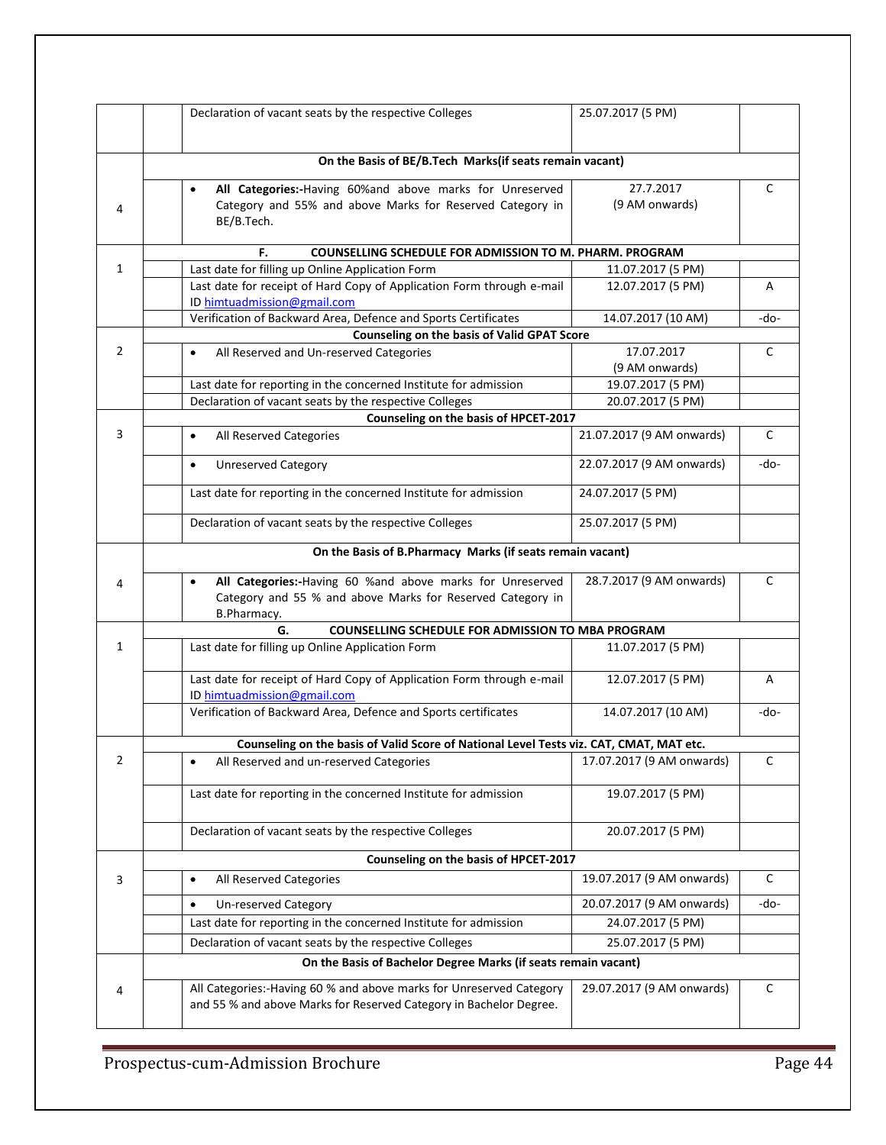|                | Declaration of vacant seats by the respective Colleges                                                                                    | 25.07.2017 (5 PM)         |      |
|----------------|-------------------------------------------------------------------------------------------------------------------------------------------|---------------------------|------|
|                | On the Basis of BE/B.Tech Marks(if seats remain vacant)                                                                                   |                           |      |
|                |                                                                                                                                           | 27.7.2017                 |      |
|                | All Categories:-Having 60% and above marks for Unreserved<br>Category and 55% and above Marks for Reserved Category in                    | (9 AM onwards)            | C    |
| 4              | BE/B.Tech.                                                                                                                                |                           |      |
|                | COUNSELLING SCHEDULE FOR ADMISSION TO M. PHARM. PROGRAM<br>F.                                                                             |                           |      |
| 1              | Last date for filling up Online Application Form                                                                                          | 11.07.2017 (5 PM)         |      |
|                | Last date for receipt of Hard Copy of Application Form through e-mail                                                                     | 12.07.2017 (5 PM)         | A    |
|                | ID himtuadmission@gmail.com                                                                                                               |                           |      |
|                | Verification of Backward Area, Defence and Sports Certificates                                                                            | 14.07.2017 (10 AM)        | -do- |
|                | Counseling on the basis of Valid GPAT Score                                                                                               |                           |      |
| $\overline{2}$ | All Reserved and Un-reserved Categories<br>$\bullet$                                                                                      | 17.07.2017                | C    |
|                |                                                                                                                                           | (9 AM onwards)            |      |
|                | Last date for reporting in the concerned Institute for admission                                                                          | 19.07.2017 (5 PM)         |      |
|                | Declaration of vacant seats by the respective Colleges                                                                                    | 20.07.2017 (5 PM)         |      |
|                | Counseling on the basis of HPCET-2017                                                                                                     |                           |      |
| 3              | All Reserved Categories<br>$\bullet$                                                                                                      | 21.07.2017 (9 AM onwards) | с    |
|                | <b>Unreserved Category</b><br>$\bullet$                                                                                                   | 22.07.2017 (9 AM onwards) | -do- |
|                | Last date for reporting in the concerned Institute for admission                                                                          | 24.07.2017 (5 PM)         |      |
|                | Declaration of vacant seats by the respective Colleges                                                                                    | 25.07.2017 (5 PM)         |      |
|                | On the Basis of B.Pharmacy Marks (if seats remain vacant)                                                                                 |                           |      |
| 4              | All Categories:-Having 60 %and above marks for Unreserved<br>$\bullet$                                                                    | 28.7.2017 (9 AM onwards)  | С    |
|                | Category and 55 % and above Marks for Reserved Category in<br>B.Pharmacy.                                                                 |                           |      |
|                | COUNSELLING SCHEDULE FOR ADMISSION TO MBA PROGRAM<br>G.                                                                                   |                           |      |
| 1              | Last date for filling up Online Application Form                                                                                          | 11.07.2017 (5 PM)         |      |
|                | Last date for receipt of Hard Copy of Application Form through e-mail<br>ID himtuadmission@gmail.com                                      | 12.07.2017 (5 PM)         | Α    |
|                | Verification of Backward Area, Defence and Sports certificates                                                                            | 14.07.2017 (10 AM)        | -do- |
|                | Counseling on the basis of Valid Score of National Level Tests viz. CAT, CMAT, MAT etc.                                                   |                           |      |
| 2              | All Reserved and un-reserved Categories<br>$\bullet$                                                                                      | 17.07.2017 (9 AM onwards) | C    |
|                | Last date for reporting in the concerned Institute for admission                                                                          | 19.07.2017 (5 PM)         |      |
|                | Declaration of vacant seats by the respective Colleges                                                                                    | 20.07.2017 (5 PM)         |      |
|                | Counseling on the basis of HPCET-2017                                                                                                     |                           |      |
| 3              | All Reserved Categories<br>$\bullet$                                                                                                      | 19.07.2017 (9 AM onwards) | C    |
|                | Un-reserved Category<br>$\bullet$                                                                                                         | 20.07.2017 (9 AM onwards) | -do- |
|                | Last date for reporting in the concerned Institute for admission                                                                          | 24.07.2017 (5 PM)         |      |
|                | Declaration of vacant seats by the respective Colleges                                                                                    | 25.07.2017 (5 PM)         |      |
|                | On the Basis of Bachelor Degree Marks (if seats remain vacant)                                                                            |                           |      |
|                |                                                                                                                                           |                           |      |
| 4              | All Categories:-Having 60 % and above marks for Unreserved Category<br>and 55 % and above Marks for Reserved Category in Bachelor Degree. | 29.07.2017 (9 AM onwards) | C    |
|                |                                                                                                                                           |                           |      |

Prospectus-cum-Admission Brochure Page 44